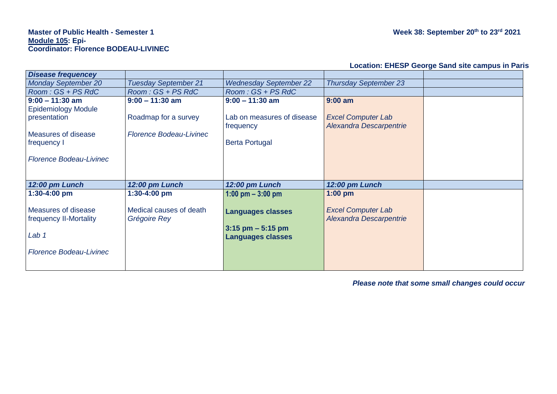# **Master of Public Health - Semester 1 Week 38: September 20th to 23rd 2021 Module 105: Epi-Coordinator: Florence BODEAU-LIVINEC**

| <b>Location: EHESP George Sand site campus in Paris</b> |  |  |  |  |
|---------------------------------------------------------|--|--|--|--|
|---------------------------------------------------------|--|--|--|--|

| <b>Disease frequencey</b>      |                                |                               |                                |  |
|--------------------------------|--------------------------------|-------------------------------|--------------------------------|--|
| <b>Monday September 20</b>     | <b>Tuesday September 21</b>    | <b>Wednesday September 22</b> | <b>Thursday September 23</b>   |  |
| $Room:GS + PS$ RdC             | $Room:GS + PS$ RdC             | Room: GS + PS RdC             |                                |  |
| $9:00 - 11:30$ am              | $9:00 - 11:30$ am              | $9:00 - 11:30$ am             | $9:00$ am                      |  |
| <b>Epidemiology Module</b>     |                                |                               |                                |  |
| presentation                   | Roadmap for a survey           | Lab on measures of disease    | <b>Excel Computer Lab</b>      |  |
|                                |                                | frequency                     | Alexandra Descarpentrie        |  |
| <b>Measures of disease</b>     | <b>Florence Bodeau-Livinec</b> |                               |                                |  |
| frequency I                    |                                | <b>Berta Portugal</b>         |                                |  |
|                                |                                |                               |                                |  |
| <b>Florence Bodeau-Livinec</b> |                                |                               |                                |  |
|                                |                                |                               |                                |  |
|                                |                                |                               |                                |  |
| 12:00 pm Lunch                 | 12:00 pm Lunch                 | 12:00 pm Lunch                | 12:00 pm Lunch                 |  |
| 1:30-4:00 pm                   | 1:30-4:00 pm                   | 1:00 pm $-$ 3:00 pm           | $1:00$ pm                      |  |
|                                |                                |                               |                                |  |
| Measures of disease            | Medical causes of death        | <b>Languages classes</b>      | <b>Excel Computer Lab</b>      |  |
| frequency II-Mortality         | Grégoire Rey                   |                               | <b>Alexandra Descarpentrie</b> |  |
|                                |                                | $3:15$ pm $-5:15$ pm          |                                |  |
| Lab <sub>1</sub>               |                                | <b>Languages classes</b>      |                                |  |
|                                |                                |                               |                                |  |
| <b>Florence Bodeau-Livinec</b> |                                |                               |                                |  |
|                                |                                |                               |                                |  |
|                                |                                |                               |                                |  |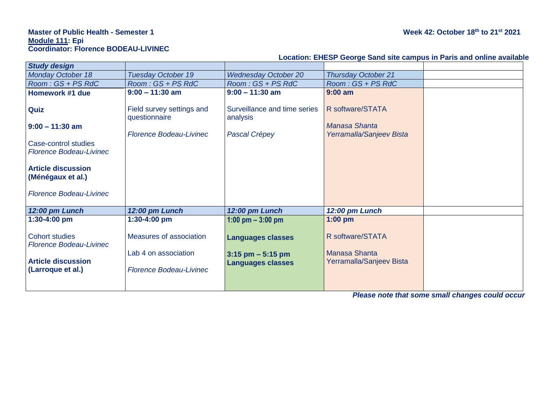## **Master of Public Health - Semester 1 Week 42: October 18th to 21st 2021 Module 111: Epi Coordinator: Florence BODEAU-LIVINEC**

|                                                         |                                            |                                          | Loudion. Lincol Ocorge Dana Site Dampas in Faris and Omine availabl |  |
|---------------------------------------------------------|--------------------------------------------|------------------------------------------|---------------------------------------------------------------------|--|
| <b>Study design</b>                                     |                                            |                                          |                                                                     |  |
| <b>Monday October 18</b>                                | <b>Tuesday October 19</b>                  | <b>Wednesday October 20</b>              | <b>Thursday October 21</b>                                          |  |
| $Room:GS + PS$ RdC                                      | Room: GS + PS RdC                          | $Room:GS + PS$ RdC                       | $Room:GS + PS$ RdC                                                  |  |
| Homework #1 due                                         | $9:00 - 11:30$ am                          | $9:00 - 11:30$ am                        | $9:00$ am                                                           |  |
| Quiz                                                    | Field survey settings and<br>questionnaire | Surveillance and time series<br>analysis | R software/STATA                                                    |  |
| $9:00 - 11:30$ am                                       |                                            |                                          | Manasa Shanta                                                       |  |
|                                                         | <b>Florence Bodeau-Livinec</b>             | Pascal Crépey                            | Yerramalla/Sanjeev Bista                                            |  |
| Case-control studies<br><b>Florence Bodeau-Livinec</b>  |                                            |                                          |                                                                     |  |
| <b>Article discussion</b><br>(Ménégaux et al.)          |                                            |                                          |                                                                     |  |
| <b>Florence Bodeau-Livinec</b>                          |                                            |                                          |                                                                     |  |
| 12:00 pm Lunch                                          | 12:00 pm Lunch                             | 12:00 pm Lunch                           | 12:00 pm Lunch                                                      |  |
| 1:30-4:00 pm                                            | 1:30-4:00 pm                               | 1:00 pm $-$ 3:00 pm                      | $1:00$ pm                                                           |  |
| <b>Cohort studies</b><br><b>Florence Bodeau-Livinec</b> | Measures of association                    | <b>Languages classes</b>                 | R software/STATA                                                    |  |
|                                                         | Lab 4 on association                       | $3:15$ pm $-5:15$ pm                     | <b>Manasa Shanta</b>                                                |  |
| <b>Article discussion</b><br>(Larroque et al.)          | <b>Florence Bodeau-Livinec</b>             | <b>Languages classes</b>                 | Yerramalla/Sanjeev Bista                                            |  |
|                                                         |                                            |                                          |                                                                     |  |

**Location: EHESP George Sand site campus in Paris and online available**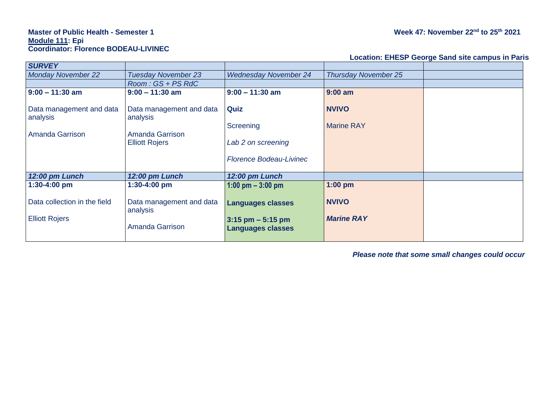# **Master of Public Health - Semester 1 Week 47: November 22nd to 25th 2021 Module 111: Epi Coordinator: Florence BODEAU-LIVINEC**

#### **Location: EHESP George Sand site campus in Paris**

| <b>SURVEY</b>                                           |                                                                                  |                                                                              |                                   |  |
|---------------------------------------------------------|----------------------------------------------------------------------------------|------------------------------------------------------------------------------|-----------------------------------|--|
| <b>Monday November 22</b>                               | <b>Tuesday November 23</b>                                                       | <b>Wednesday November 24</b>                                                 | <b>Thursday November 25</b>       |  |
|                                                         | $Room:GS + PS$ RdC                                                               |                                                                              |                                   |  |
| $9:00 - 11:30$ am                                       | $9:00 - 11:30$ am                                                                | $9:00 - 11:30$ am                                                            | $9:00$ am                         |  |
| Data management and data<br>analysis<br>Amanda Garrison | Data management and data<br>analysis<br>Amanda Garrison<br><b>Elliott Rojers</b> | Quiz<br>Screening<br>Lab 2 on screening<br><b>Florence Bodeau-Livinec</b>    | <b>NVIVO</b><br><b>Marine RAY</b> |  |
| 12:00 pm Lunch                                          | 12:00 pm Lunch                                                                   | 12:00 pm Lunch                                                               |                                   |  |
| $1:30 - 4:00$ pm                                        | 1:30-4:00 pm                                                                     | 1:00 pm $-$ 3:00 pm                                                          | $1:00$ pm                         |  |
| Data collection in the field<br><b>Elliott Rojers</b>   | Data management and data<br>analysis<br><b>Amanda Garrison</b>                   | <b>Languages classes</b><br>$3:15$ pm $-5:15$ pm<br><b>Languages classes</b> | <b>NVIVO</b><br><b>Marine RAY</b> |  |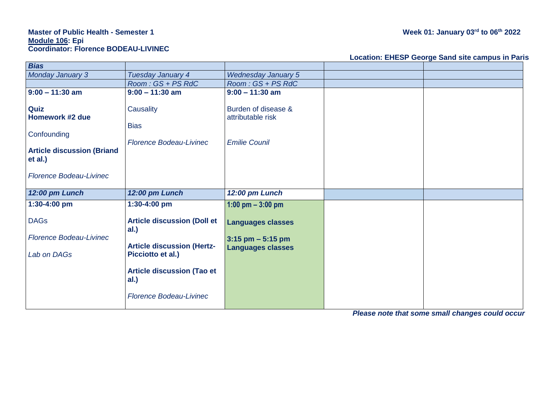# **Master of Public Health - Semester 1 Week 01: January 03rd to 06th 2022 Module 106: Epi Coordinator: Florence BODEAU-LIVINEC**

#### **Location: EHESP George Sand site campus in Paris**

| <b>Bias</b>                                                                                                              |                                                                                                                                                   |                                                                              |  |
|--------------------------------------------------------------------------------------------------------------------------|---------------------------------------------------------------------------------------------------------------------------------------------------|------------------------------------------------------------------------------|--|
| <b>Monday January 3</b>                                                                                                  | Tuesday January 4                                                                                                                                 | <b>Wednesday January 5</b>                                                   |  |
|                                                                                                                          | Room: GS + PS RdC                                                                                                                                 | $Room:GS + PS$ RdC                                                           |  |
| $9:00 - 11:30$ am                                                                                                        | $9:00 - 11:30$ am                                                                                                                                 | $9:00 - 11:30$ am                                                            |  |
| Quiz<br>Homework #2 due<br>Confounding<br><b>Article discussion (Briand</b><br>et al.)<br><b>Florence Bodeau-Livinec</b> | Causality<br><b>Bias</b><br><b>Florence Bodeau-Livinec</b>                                                                                        | Burden of disease &<br>attributable risk<br><b>Emilie Counil</b>             |  |
| 12:00 pm Lunch                                                                                                           | 12:00 pm Lunch                                                                                                                                    | 12:00 pm Lunch                                                               |  |
| 1:30-4:00 pm                                                                                                             | 1:30-4:00 pm                                                                                                                                      | 1:00 pm $-$ 3:00 pm                                                          |  |
| <b>DAGs</b><br><b>Florence Bodeau-Livinec</b><br>Lab on DAGs                                                             | <b>Article discussion (Doll et</b><br>al.)<br><b>Article discussion (Hertz-</b><br>Picciotto et al.)<br><b>Article discussion (Tao et</b><br>al.) | <b>Languages classes</b><br>$3:15$ pm $-5:15$ pm<br><b>Languages classes</b> |  |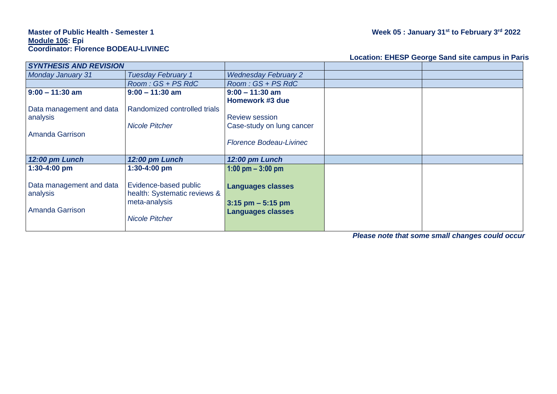#### **Master of Public Health - Semester 1 Week 05 : January 31st to February 3 rd 2022 Module 106: Epi Coordinator: Florence BODEAU-LIVINEC**

## **Location: EHESP George Sand site campus in Paris**

| <b>SYNTHESIS AND REVISION</b> |                              |                                |  |
|-------------------------------|------------------------------|--------------------------------|--|
| <b>Monday January 31</b>      | <b>Tuesday February 1</b>    | <b>Wednesday February 2</b>    |  |
|                               | $Room:GS + PS$ RdC           | $Room:GS + PS$ RdC             |  |
| $9:00 - 11:30$ am             | $9:00 - 11:30$ am            | $9:00 - 11:30$ am              |  |
|                               |                              | Homework #3 due                |  |
| Data management and data      | Randomized controlled trials |                                |  |
| analysis                      |                              | <b>Review session</b>          |  |
|                               | <b>Nicole Pitcher</b>        | Case-study on lung cancer      |  |
| <b>Amanda Garrison</b>        |                              |                                |  |
|                               |                              | <b>Florence Bodeau-Livinec</b> |  |
|                               |                              |                                |  |
| 12:00 pm Lunch                | 12:00 pm Lunch               | 12:00 pm Lunch                 |  |
| $1:30-4:00$ pm                | 1:30-4:00 pm                 | 1:00 pm $-$ 3:00 pm            |  |
|                               |                              |                                |  |
| Data management and data      | Evidence-based public        | <b>Languages classes</b>       |  |
| analysis                      | health: Systematic reviews & |                                |  |
|                               | meta-analysis                | $3:15$ pm $-5:15$ pm           |  |
| <b>Amanda Garrison</b>        |                              | <b>Languages classes</b>       |  |
|                               | <b>Nicole Pitcher</b>        |                                |  |
|                               |                              |                                |  |